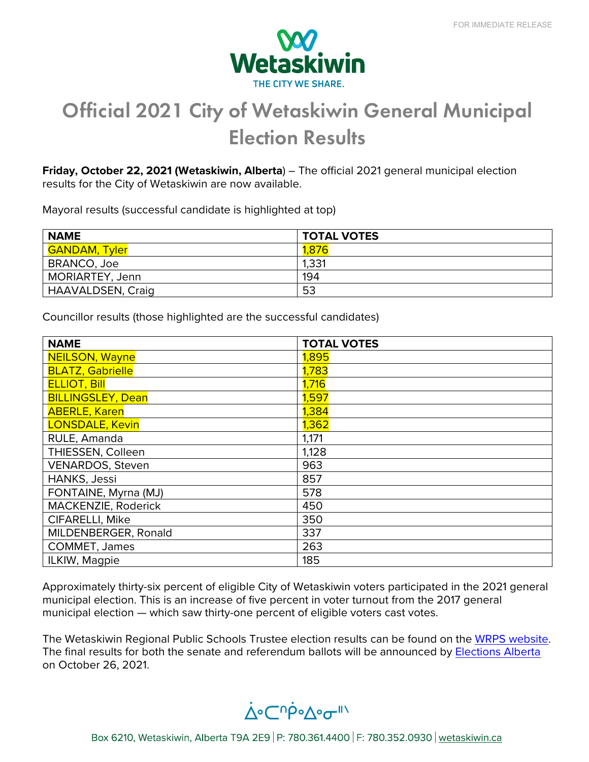

## Official 2021 City of Wetaskiwin General Municipal Election Results

**Friday, October 22, 2021 (Wetaskiwin, Alberta**) – The official 2021 general municipal election results for the City of Wetaskiwin are now available.

Mayoral results (successful candidate is highlighted at top)

| <b>NAME</b>              | <b>TOTAL VOTES</b> |
|--------------------------|--------------------|
| <b>GANDAM, Tyler</b>     | 1,876              |
| BRANCO, Joe              | 1,331              |
| MORIARTEY, Jenn          | 194                |
| <b>HAAVALDSEN, Craig</b> | 53                 |

Councillor results (those highlighted are the successful candidates)

| <b>NAME</b>              | <b>TOTAL VOTES</b> |
|--------------------------|--------------------|
| <b>NEILSON, Wayne</b>    | 1,895              |
| <b>BLATZ, Gabrielle</b>  | 1,783              |
| <b>ELLIOT, Bill</b>      | 1,716              |
| <b>BILLINGSLEY, Dean</b> | 1,597              |
| <b>ABERLE, Karen</b>     | 1,384              |
| <b>LONSDALE, Kevin</b>   | 1,362              |
| RULE, Amanda             | 1,171              |
| THIESSEN, Colleen        | 1,128              |
| <b>VENARDOS, Steven</b>  | 963                |
| HANKS, Jessi             | 857                |
| FONTAINE, Myrna (MJ)     | 578                |
| MACKENZIE, Roderick      | 450                |
| CIFARELLI, Mike          | 350                |
| MILDENBERGER, Ronald     | 337                |
| COMMET, James            | 263                |
| ILKIW, Magpie            | 185                |

Approximately thirty-six percent of eligible City of Wetaskiwin voters participated in the 2021 general municipal election. This is an increase of five percent in voter turnout from the 2017 general municipal election — which saw thirty-one percent of eligible voters cast votes.

The Wetaskiwin Regional Public Schools Trustee election results can be found on the [WRPS website.](https://www.wrps11.ca/trustees/whats-new) The final results for both the senate and referendum ballots will be announced by [Elections Alberta](https://www.elections.ab.ca/) on October 26, 2021.